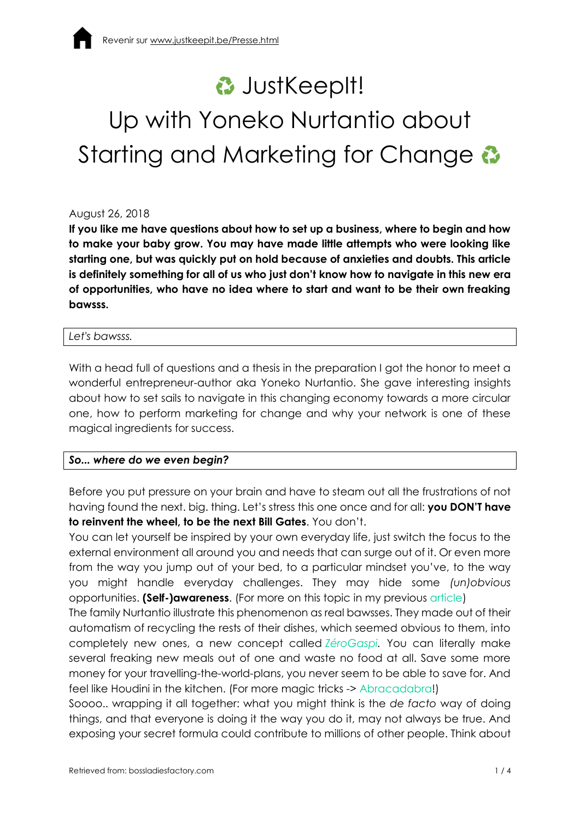# **<del>⊘</del>** JustKeepIt! Up with Yoneko Nurtantio about Starting and Marketing for Change  $\ddot{\bm{\omega}}$

### August 26, 2018

**If you like me have questions about how to set up a business, where to begin and how to make your baby grow. You may have made little attempts who were looking like starting one, but was quickly put on hold because of anxieties and doubts. This article is definitely something for all of us who just don't know how to navigate in this new era of opportunities, who have no idea where to start and want to be their own freaking bawsss.**

#### *Let's bawsss.*

With a head full of questions and a thesis in the preparation I got the honor to meet a wonderful entrepreneur-author aka Yoneko Nurtantio. She gave interesting insights about how to set sails to navigate in this changing economy towards a more circular one, how to perform marketing for change and why your network is one of these magical ingredients for success.

### *So... where do we even begin?*

Before you put pressure on your brain and have to steam out all the frustrations of not having found the next. big. thing. Let's stress this one once and for all: **you DON'T have to reinvent the wheel, to be the next Bill Gates**. You don't.

You can let yourself be inspired by your own everyday life, just switch the focus to the external environment all around you and needs that can surge out of it. Or even more from the way you jump out of your bed, to a particular mindset you've, to the way you might handle everyday challenges. They may hide some *(un)obvious* opportunities. **(Self-)awareness**. (For more on this topic in my previous [article\)](http://bossladiesfactory.com/2017/5-ideas-for-having-a-million-dollar-idea/)

The family Nurtantio illustrate this phenomenon as real bawsses. They made out of their automatism of recycling the rests of their dishes, which seemed obvious to them, into completely new ones, a new concept called *[ZéroGaspi.](http://nurtantio-projects.com/Zero_Gaspi.html)* You can literally make several freaking new meals out of one and waste no food at all. Save some more money for your travelling-the-world-plans, you never seem to be able to save for. And feel like Houdini in the kitchen. (For more magic tricks -> [Abracadabra!](http://nurtantio-projects.com/Zero_Gaspi.html))

Soooo.. wrapping it all together: what you might think is the *de facto* way of doing things, and that everyone is doing it the way you do it, may not always be true. And exposing your secret formula could contribute to millions of other people. Think about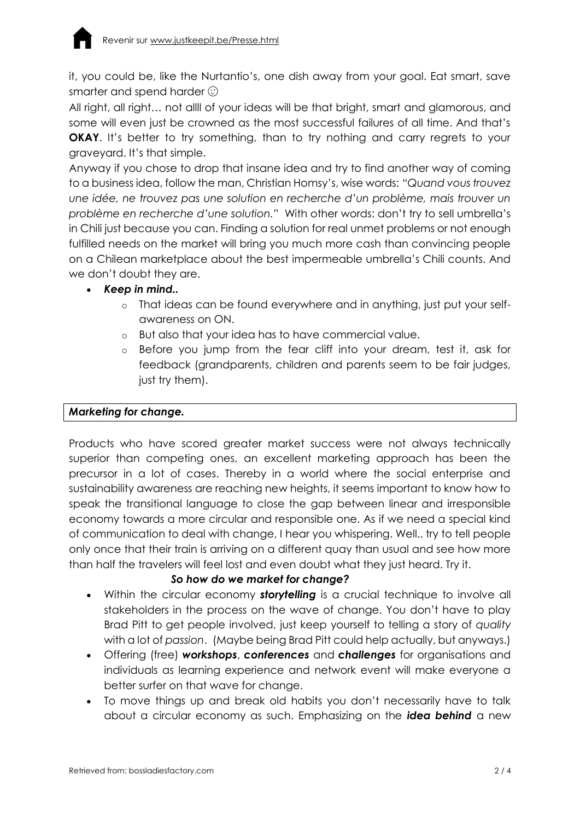it, you could be, like the Nurtantio's, one dish away from your goal. Eat smart, save smarter and spend harder  $\odot$ 

All right, all right… not allll of your ideas will be that bright, smart and glamorous, and some will even just be crowned as the most successful failures of all time. And that's **OKAY**. It's better to try something, than to try nothing and carry regrets to your graveyard. It's that simple.

Anyway if you chose to drop that insane idea and try to find another way of coming to a business idea, follow the man, Christian Homsy's, wise words: "*Quand vous trouvez une idée, ne trouvez pas une solution en recherche d'un problème, mais trouver un problème en recherche d'une solution.*" With other words: don't try to sell umbrella's in Chili just because you can. Finding a solution for real unmet problems or not enough fulfilled needs on the market will bring you much more cash than convincing people on a Chilean marketplace about the best impermeable umbrella's Chili counts. And we don't doubt they are.

## *Keep in mind..*

- o That ideas can be found everywhere and in anything, just put your selfawareness on ON.
- o But also that your idea has to have commercial value.
- o Before you jump from the fear cliff into your dream, test it, ask for feedback (grandparents, children and parents seem to be fair judges, just try them).

## *Marketing for change.*

Products who have scored greater market success were not always technically superior than competing ones, an excellent marketing approach has been the precursor in a lot of cases. Thereby in a world where the social enterprise and sustainability awareness are reaching new heights, it seems important to know how to speak the transitional language to close the gap between linear and irresponsible economy towards a more circular and responsible one. As if we need a special kind of communication to deal with change, I hear you whispering. Well.. try to tell people only once that their train is arriving on a different quay than usual and see how more than half the travelers will feel lost and even doubt what they just heard. Try it.

## *So how do we market for change?*

- Within the circular economy *storytelling* is a crucial technique to involve all stakeholders in the process on the wave of change. You don't have to play Brad Pitt to get people involved, just keep yourself to telling a story of *quality* with a lot of *passion*. (Maybe being Brad Pitt could help actually, but anyways.)
- Offering (free) *workshops*, *conferences* and *challenges* for organisations and individuals as learning experience and network event will make everyone a better surfer on that wave for change.
- To move things up and break old habits you don't necessarily have to talk about a circular economy as such. Emphasizing on the *idea behind* a new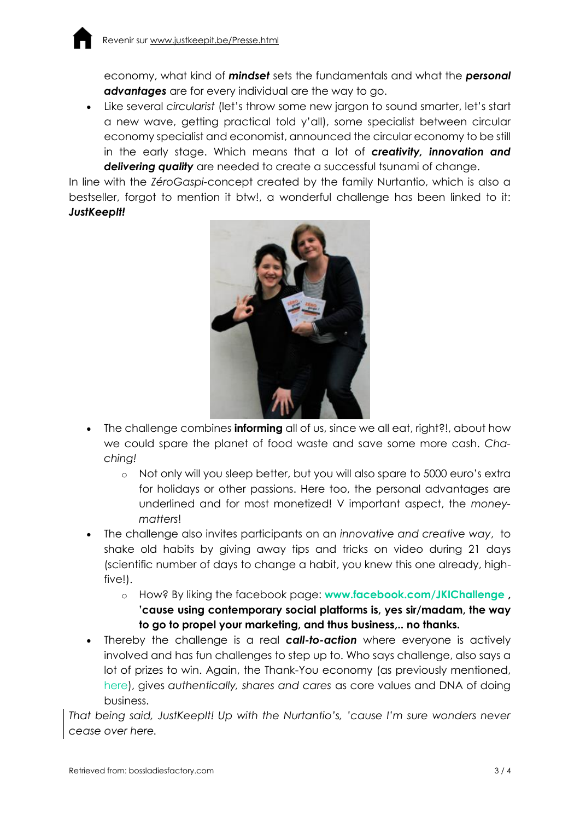economy, what kind of *mindset* sets the fundamentals and what the *personal advantages* are for every individual are the way to go.

 Like several *circularist* (let's throw some new jargon to sound smarter, let's start a new wave, getting practical told y'all), some specialist between circular economy specialist and economist, announced the circular economy to be still in the early stage. Which means that a lot of *creativity, innovation and delivering quality* are needed to create a successful tsunami of change.

In line with the *ZéroGaspi-*concept created by the family Nurtantio, which is also a bestseller, forgot to mention it btw!, a wonderful challenge has been linked to it: *JustKeepIt!*



- The challenge combines **informing** all of us, since we all eat, right?!, about how we could spare the planet of food waste and save some more cash. *Chaching!*
	- o Not only will you sleep better, but you will also spare to 5000 euro's extra for holidays or other passions. Here too, the personal advantages are underlined and for most monetized! V important aspect, the *moneymatters*!
- The challenge also invites participants on an *innovative and creative way*, to shake old habits by giving away tips and tricks on video during 21 days (scientific number of days to change a habit, you knew this one already, highfive!).
	- o How? By liking the facebook page: **[www.facebook.com/JKIChallenge](http://www.facebook.com/JKIChallenge) , 'cause using contemporary social platforms is, yes sir/madam, the way to go to propel your marketing, and thus business,.. no thanks.**
- Thereby the challenge is a real *call-to-action* where everyone is actively involved and has fun challenges to step up to. Who says challenge, also says a lot of prizes to win. Again, the Thank-You economy (as previously mentioned, [here\)](http://bossladiesfactory.com/2017/final-part-the-survival-guide-to-the-circular-economy-part-three-for-future-entrepreneurs-and-corporations/), gives *authentically, shares and cares* as core values and DNA of doing business.

*That being said, JustKeepIt! Up with the Nurtantio's, 'cause I'm sure wonders never cease over here.*